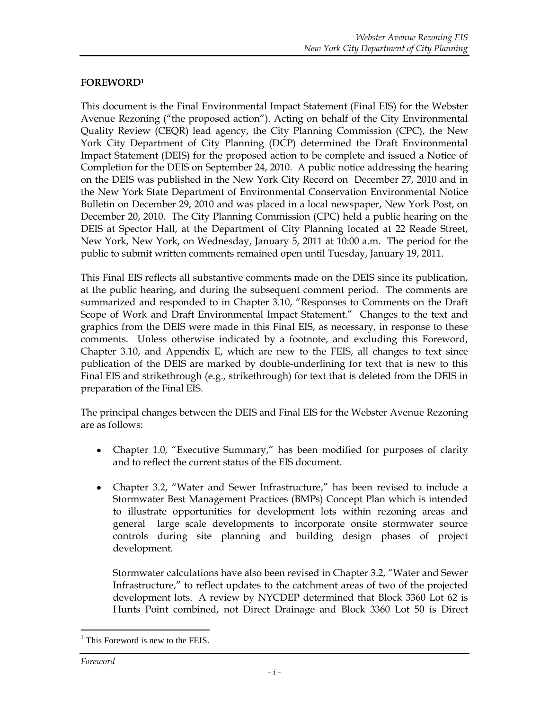## **FOREWORD<sup>1</sup>**

This document is the Final Environmental Impact Statement (Final EIS) for the Webster Avenue Rezoning ("the proposed action"). Acting on behalf of the City Environmental Quality Review (CEQR) lead agency, the City Planning Commission (CPC), the New York City Department of City Planning (DCP) determined the Draft Environmental Impact Statement (DEIS) for the proposed action to be complete and issued a Notice of Completion for the DEIS on September 24, 2010. A public notice addressing the hearing on the DEIS was published in the New York City Record on December 27, 2010 and in the New York State Department of Environmental Conservation Environmental Notice Bulletin on December 29, 2010 and was placed in a local newspaper, New York Post, on December 20, 2010. The City Planning Commission (CPC) held a public hearing on the DEIS at Spector Hall, at the Department of City Planning located at 22 Reade Street, New York, New York, on Wednesday, January 5, 2011 at 10:00 a.m. The period for the public to submit written comments remained open until Tuesday, January 19, 2011.

This Final EIS reflects all substantive comments made on the DEIS since its publication, at the public hearing, and during the subsequent comment period. The comments are summarized and responded to in Chapter 3.10, "Responses to Comments on the Draft Scope of Work and Draft Environmental Impact Statement." Changes to the text and graphics from the DEIS were made in this Final EIS, as necessary, in response to these comments. Unless otherwise indicated by a footnote, and excluding this Foreword, Chapter 3.10, and Appendix E, which are new to the FEIS, all changes to text since publication of the DEIS are marked by double-underlining for text that is new to this Final EIS and strikethrough (e.g., strikethrough) for text that is deleted from the DEIS in preparation of the Final EIS.

The principal changes between the DEIS and Final EIS for the Webster Avenue Rezoning are as follows:

- Chapter 1.0, "Executive Summary," has been modified for purposes of clarity and to reflect the current status of the EIS document.
- Chapter 3.2, "Water and Sewer Infrastructure," has been revised to include a Stormwater Best Management Practices (BMPs) Concept Plan which is intended to illustrate opportunities for development lots within rezoning areas and general large scale developments to incorporate onsite stormwater source controls during site planning and building design phases of project development.

Stormwater calculations have also been revised in Chapter 3.2, "Water and Sewer Infrastructure," to reflect updates to the catchment areas of two of the projected development lots. A review by NYCDEP determined that Block 3360 Lot 62 is Hunts Point combined, not Direct Drainage and Block 3360 Lot 50 is Direct

 $\overline{a}$ 

 $<sup>1</sup>$  This Foreword is new to the FEIS.</sup>